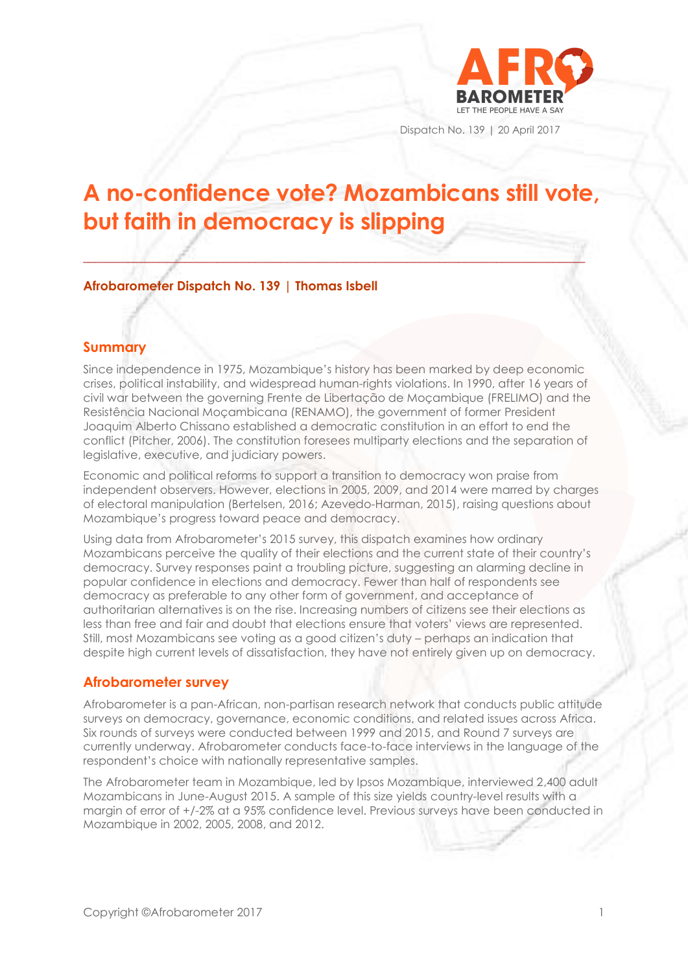

Dispatch No. 139 | 20 April 2017

# **A no-confidence vote? Mozambicans still vote, but faith in democracy is slipping**

**\_\_\_\_\_\_\_\_\_\_\_\_\_\_\_\_\_\_\_\_\_\_\_\_\_\_\_\_\_\_\_\_\_\_\_\_\_\_\_\_\_\_\_\_\_\_\_\_\_\_\_\_\_\_\_\_\_\_\_\_\_\_\_\_\_\_\_\_\_\_\_\_\_\_\_\_\_\_\_**

## **Afrobarometer Dispatch No. 139 | Thomas Isbell**

## **Summary**

Since independence in 1975, Mozambique's history has been marked by deep economic crises, political instability, and widespread human-rights violations. In 1990, after 16 years of civil war between the governing Frente de Libertação de Moçambique (FRELIMO) and the Resistência Nacional Moçambicana (RENAMO), the government of former President Joaquim Alberto Chissano established a democratic constitution in an effort to end the conflict (Pitcher, 2006). The constitution foresees multiparty elections and the separation of legislative, executive, and judiciary powers.

Economic and political reforms to support a transition to democracy won praise from independent observers. However, elections in 2005, 2009, and 2014 were marred by charges of electoral manipulation (Bertelsen, 2016; Azevedo-Harman, 2015), raising questions about Mozambique's progress toward peace and democracy.

Using data from Afrobarometer's 2015 survey, this dispatch examines how ordinary Mozambicans perceive the quality of their elections and the current state of their country's democracy. Survey responses paint a troubling picture, suggesting an alarming decline in popular confidence in elections and democracy. Fewer than half of respondents see democracy as preferable to any other form of government, and acceptance of authoritarian alternatives is on the rise. Increasing numbers of citizens see their elections as less than free and fair and doubt that elections ensure that voters' views are represented. Still, most Mozambicans see voting as a good citizen's duty – perhaps an indication that despite high current levels of dissatisfaction, they have not entirely given up on democracy.

### **Afrobarometer survey**

Afrobarometer is a pan-African, non-partisan research network that conducts public attitude surveys on democracy, governance, economic conditions, and related issues across Africa. Six rounds of surveys were conducted between 1999 and 2015, and Round 7 surveys are currently underway. Afrobarometer conducts face-to-face interviews in the language of the respondent's choice with nationally representative samples.

The Afrobarometer team in Mozambique, led by Ipsos Mozambique, interviewed 2,400 adult Mozambicans in June-August 2015. A sample of this size yields country-level results with a margin of error of +/-2% at a 95% confidence level. Previous surveys have been conducted in Mozambique in 2002, 2005, 2008, and 2012.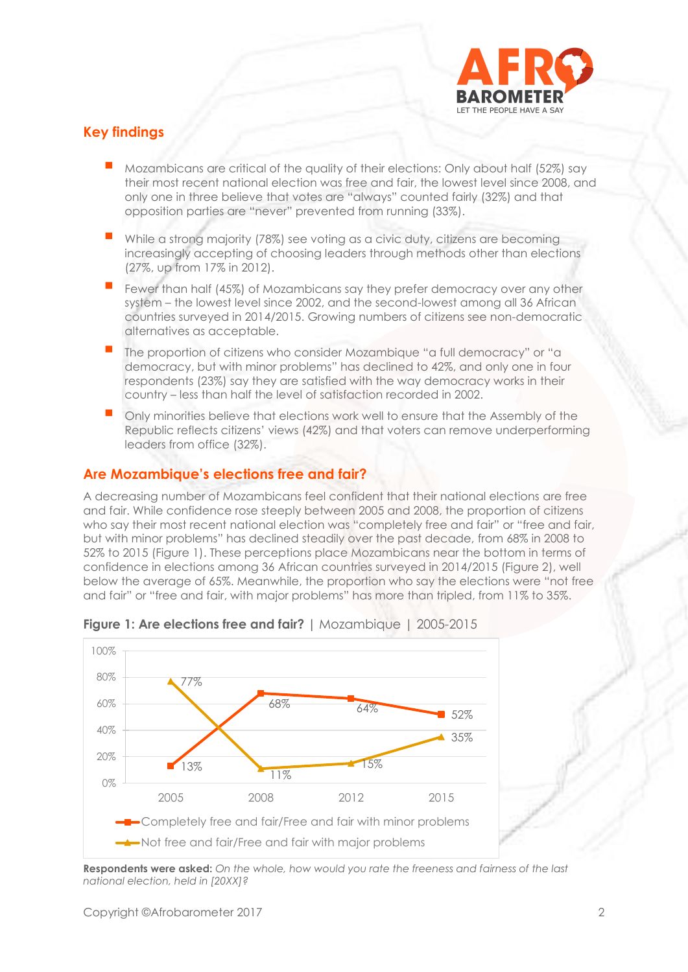

# **Key findings**

- Mozambicans are critical of the quality of their elections: Only about half (52%) say their most recent national election was free and fair, the lowest level since 2008, and only one in three believe that votes are "always" counted fairly (32%) and that opposition parties are "never" prevented from running (33%).
- While a strong majority (78%) see voting as a civic duty, citizens are becoming increasingly accepting of choosing leaders through methods other than elections (27%, up from 17% in 2012).
- Fewer than half (45%) of Mozambicans say they prefer democracy over any other system – the lowest level since 2002, and the second-lowest among all 36 African countries surveyed in 2014/2015. Growing numbers of citizens see non-democratic alternatives as acceptable.
- The proportion of citizens who consider Mozambique "a full democracy" or "a democracy, but with minor problems" has declined to 42%, and only one in four respondents (23%) say they are satisfied with the way democracy works in their country – less than half the level of satisfaction recorded in 2002.
- Only minorities believe that elections work well to ensure that the Assembly of the Republic reflects citizens' views (42%) and that voters can remove underperforming leaders from office (32%).

# **Are Mozambique's elections free and fair?**

A decreasing number of Mozambicans feel confident that their national elections are free and fair. While confidence rose steeply between 2005 and 2008, the proportion of citizens who say their most recent national election was "completely free and fair" or "free and fair, but with minor problems" has declined steadily over the past decade, from 68% in 2008 to 52% to 2015 (Figure 1). These perceptions place Mozambicans near the bottom in terms of confidence in elections among 36 African countries surveyed in 2014/2015 (Figure 2), well below the average of 65%. Meanwhile, the proportion who say the elections were "not free and fair" or "free and fair, with major problems" has more than tripled, from 11% to 35%.



**Figure 1: Are elections free and fair? |** Mozambique | 2005-2015

**Respondents were asked:** *On the whole, how would you rate the freeness and fairness of the last national election, held in [20XX]?*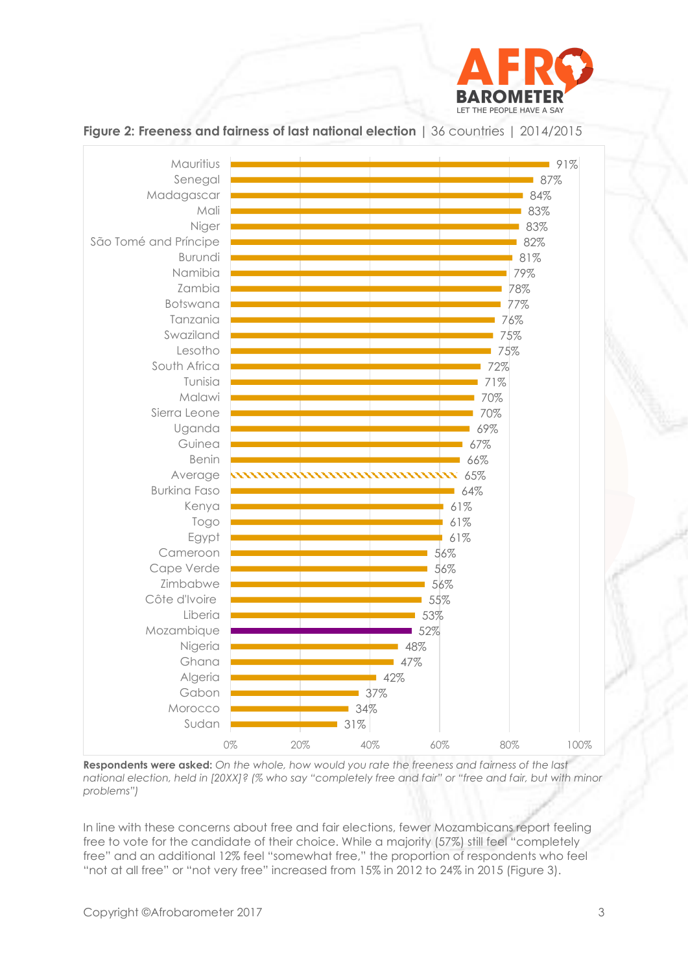



**Figure 2: Freeness and fairness of last national election |** 36 countries | 2014/2015

**Respondents were asked:** *On the whole, how would you rate the freeness and fairness of the last national election, held in [20XX]? (% who say "completely free and fair" or "free and fair, but with minor problems")*

In line with these concerns about free and fair elections, fewer Mozambicans report feeling free to vote for the candidate of their choice. While a majority (57%) still feel "completely free" and an additional 12% feel "somewhat free," the proportion of respondents who feel "not at all free" or "not very free" increased from 15% in 2012 to 24% in 2015 (Figure 3).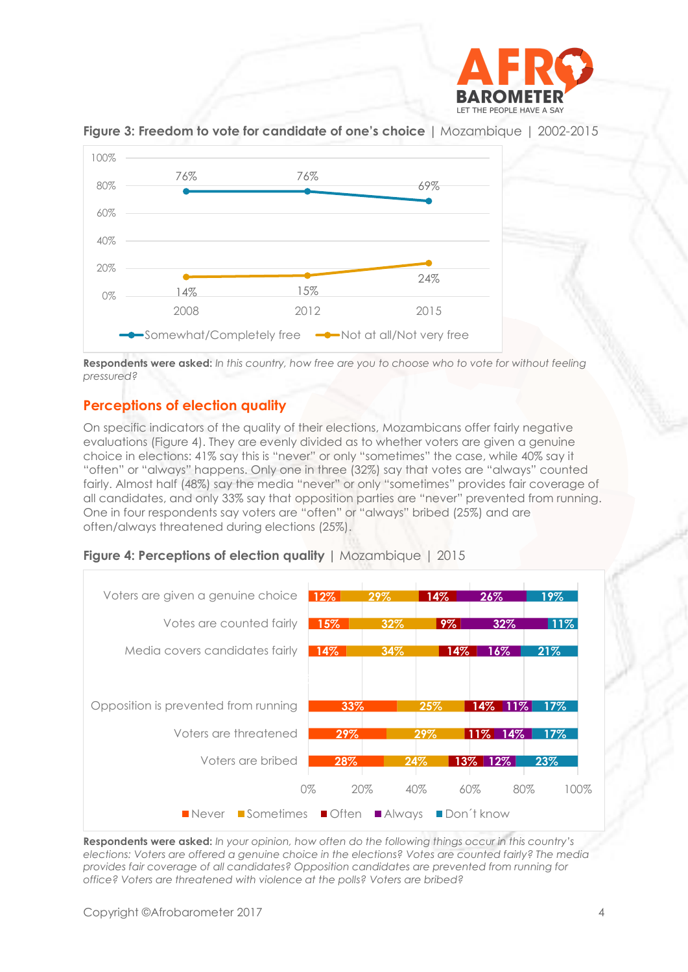



**Figure 3: Freedom to vote for candidate of one's choice |** Mozambique | 2002-2015

**Respondents were asked:** *In this country, how free are you to choose who to vote for without feeling pressured?*

# **Perceptions of election quality**

On specific indicators of the quality of their elections, Mozambicans offer fairly negative evaluations (Figure 4). They are evenly divided as to whether voters are given a genuine choice in elections: 41% say this is "never" or only "sometimes" the case, while 40% say it "often" or "always" happens. Only one in three (32%) say that votes are "always" counted fairly. Almost half (48%) say the media "never" or only "sometimes" provides fair coverage of all candidates, and only 33% say that opposition parties are "never" prevented from running. One in four respondents say voters are "often" or "always" bribed (25%) and are often/always threatened during elections (25%).



**Figure 4: Perceptions of election quality |** Mozambique | 2015

**Respondents were asked:** *In your opinion, how often do the following things occur in this country's elections: Voters are offered a genuine choice in the elections? Votes are counted fairly? The media provides fair coverage of all candidates? Opposition candidates are prevented from running for office? Voters are threatened with violence at the polls? Voters are bribed?*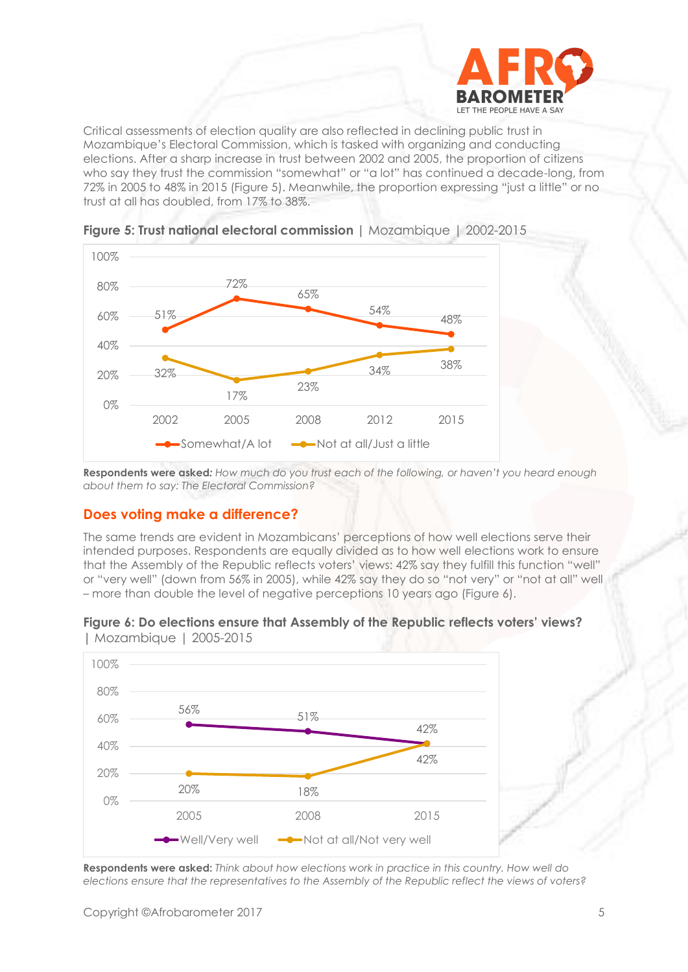

Critical assessments of election quality are also reflected in declining public trust in Mozambique's Electoral Commission, which is tasked with organizing and conducting elections. After a sharp increase in trust between 2002 and 2005, the proportion of citizens who say they trust the commission "somewhat" or "a lot" has continued a decade-long, from 72% in 2005 to 48% in 2015 (Figure 5). Meanwhile, the proportion expressing "just a little" or no trust at all has doubled, from 17% to 38%.





**Respondents were asked***: How much do you trust each of the following, or haven't you heard enough about them to say: The Electoral Commission?*

## **Does voting make a difference?**

The same trends are evident in Mozambicans' perceptions of how well elections serve their intended purposes. Respondents are equally divided as to how well elections work to ensure that the Assembly of the Republic reflects voters' views: 42% say they fulfill this function "well" or "very well" (down from 56% in 2005), while 42% say they do so "not very" or "not at all" well – more than double the level of negative perceptions 10 years ago (Figure 6).

#### **Figure 6: Do elections ensure that Assembly of the Republic reflects voters' views? |** Mozambique | 2005-2015



**Respondents were asked:** *Think about how elections work in practice in this country. How well do elections ensure that the representatives to the Assembly of the Republic reflect the views of voters?*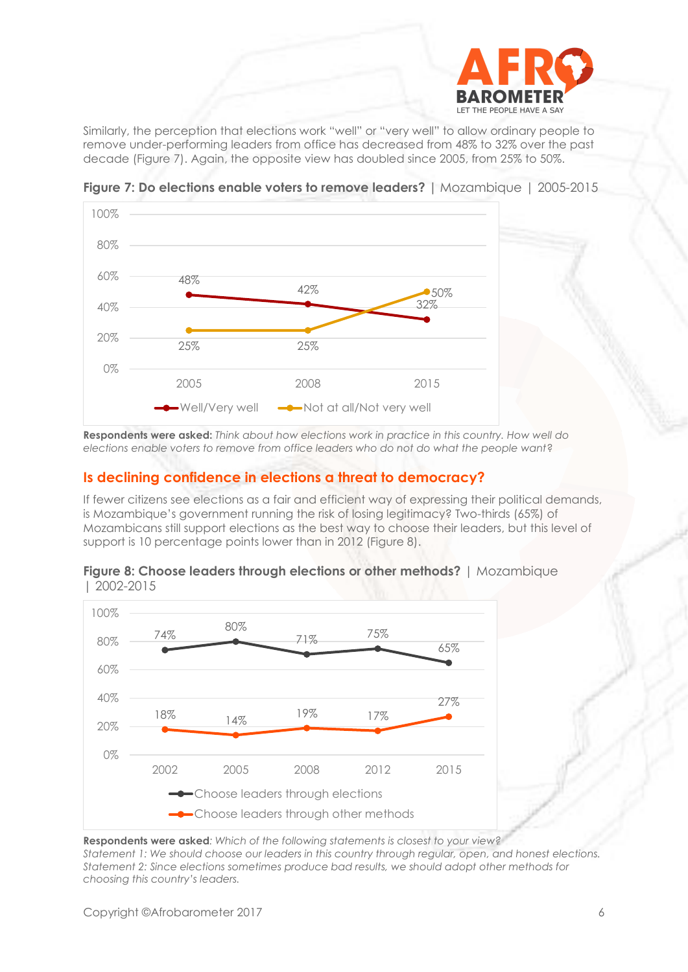

Similarly, the perception that elections work "well" or "very well" to allow ordinary people to remove under-performing leaders from office has decreased from 48% to 32% over the past decade (Figure 7). Again, the opposite view has doubled since 2005, from 25% to 50%.



**Figure 7: Do elections enable voters to remove leaders? |** Mozambique | 2005-2015

**Respondents were asked:** *Think about how elections work in practice in this country. How well do elections enable voters to remove from office leaders who do not do what the people want*?

## **Is declining confidence in elections a threat to democracy?**

If fewer citizens see elections as a fair and efficient way of expressing their political demands, is Mozambique's government running the risk of losing legitimacy? Two-thirds (65%) of Mozambicans still support elections as the best way to choose their leaders, but this level of support is 10 percentage points lower than in 2012 (Figure 8).





**Respondents were asked***: Which of the following statements is closest to your view?*

*Statement 1: We should choose our leaders in this country through regular, open, and honest elections. Statement 2: Since elections sometimes produce bad results, we should adopt other methods for choosing this country's leaders.*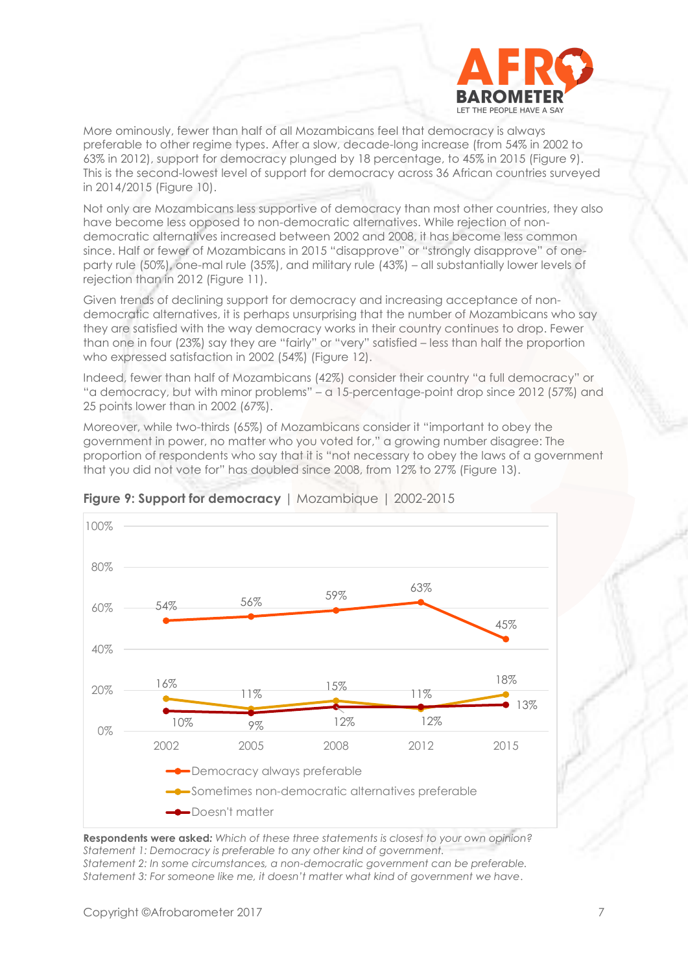

More ominously, fewer than half of all Mozambicans feel that democracy is always preferable to other regime types. After a slow, decade-long increase (from 54% in 2002 to 63% in 2012), support for democracy plunged by 18 percentage, to 45% in 2015 (Figure 9). This is the second-lowest level of support for democracy across 36 African countries surveyed in 2014/2015 (Figure 10).

Not only are Mozambicans less supportive of democracy than most other countries, they also have become less opposed to non-democratic alternatives. While rejection of nondemocratic alternatives increased between 2002 and 2008, it has become less common since. Half or fewer of Mozambicans in 2015 "disapprove" or "strongly disapprove" of oneparty rule (50%), one-mal rule (35%), and military rule (43%) – all substantially lower levels of rejection than in 2012 (Figure 11).

Given trends of declining support for democracy and increasing acceptance of nondemocratic alternatives, it is perhaps unsurprising that the number of Mozambicans who say they are satisfied with the way democracy works in their country continues to drop. Fewer than one in four (23%) say they are "fairly" or "very" satisfied – less than half the proportion who expressed satisfaction in 2002 (54%) (Figure 12).

Indeed, fewer than half of Mozambicans (42%) consider their country "a full democracy" or "a democracy, but with minor problems" – a 15-percentage-point drop since 2012 (57%) and 25 points lower than in 2002 (67%).

Moreover, while two-thirds (65%) of Mozambicans consider it "important to obey the government in power, no matter who you voted for," a growing number disagree: The proportion of respondents who say that it is "not necessary to obey the laws of a government that you did not vote for" has doubled since 2008, from 12% to 27% (Figure 13).



## **Figure 9: Support for democracy** | Mozambique | 2002-2015

**Respondents were asked***: Which of these three statements is closest to your own opinion? Statement 1: Democracy is preferable to any other kind of government. Statement 2: In some circumstances, a non-democratic government can be preferable. Statement 3: For someone like me, it doesn't matter what kind of government we have*.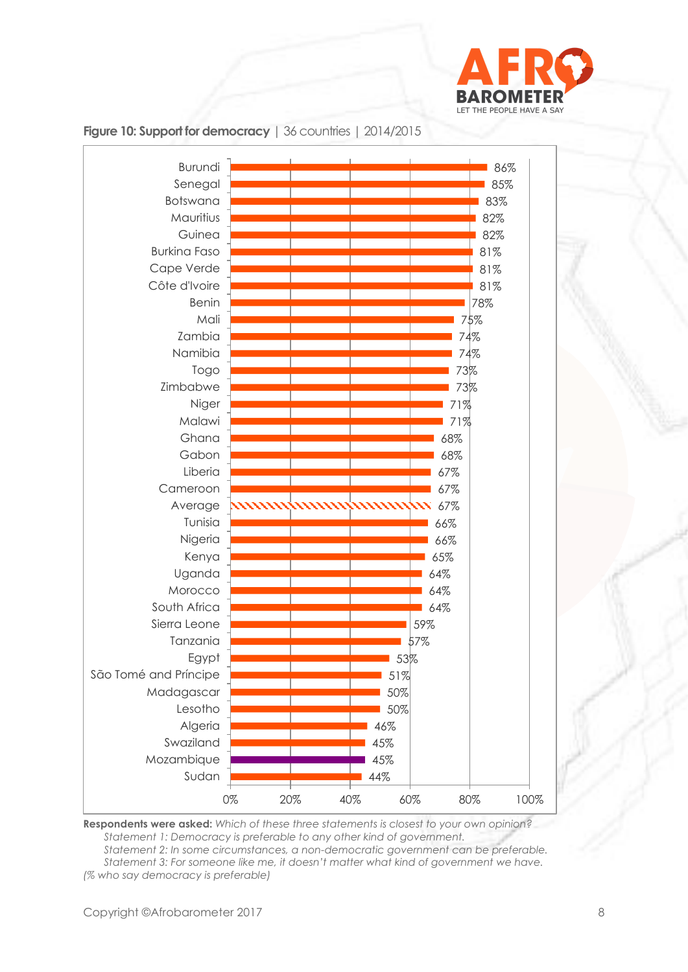



## **Figure 10: Support for democracy** | 36 countries | 2014/2015

**Respondents were asked:** *Which of these three statements is closest to your own opinion? Statement 1: Democracy is preferable to any other kind of government. Statement 2: In some circumstances, a non-democratic government can be preferable.*

*Statement 3: For someone like me, it doesn't matter what kind of government we have. (% who say democracy is preferable)*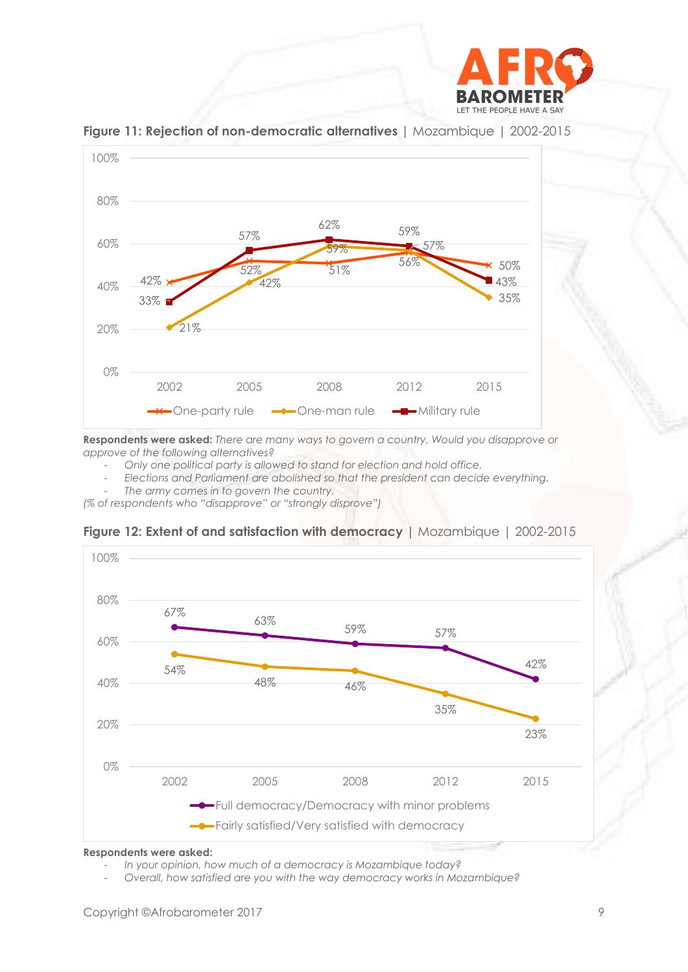



**Figure 11: Rejection of non-democratic alternatives |** Mozambique | 2002-2015

**Respondents were asked:** *There are many ways to govern a country. Would you disapprove or approve of the following alternatives?*

- *Only one political party is allowed to stand for election and hold office.*

- *Elections and Parliament are abolished so that the president can decide everything.*

The army comes in to govern the country.

*(% of respondents who "disapprove" or "strongly disprove")*



**Figure 12: Extent of and satisfaction with democracy |** Mozambique | 2002-2015

**Respondents were asked:**

<sup>-</sup> *In your opinion, how much of a democracy is Mozambique today?*

<sup>-</sup> *Overall, how satisfied are you with the way democracy works in Mozambique?*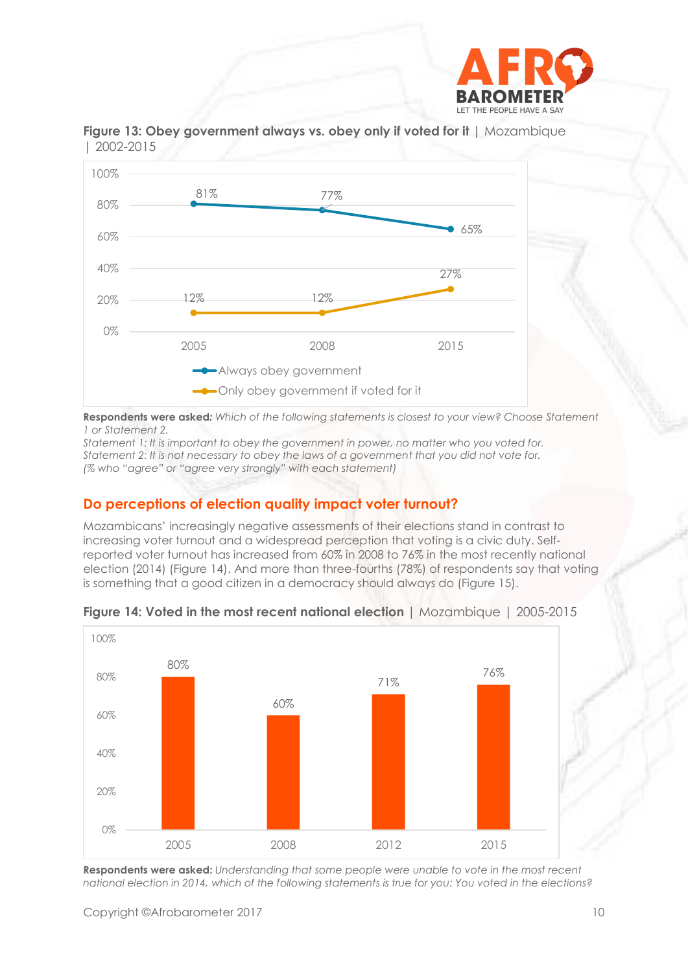



**Figure 13: Obey government always vs. obey only if voted for it |** Mozambique | 2002-2015

**Respondents were asked***: Which of the following statements is closest to your view? Choose Statement 1 or Statement 2.*

*Statement 1: It is important to obey the government in power, no matter who you voted for. Statement 2: It is not necessary to obey the laws of a government that you did not vote for. (% who "agree" or "agree very strongly" with each statement)*

# **Do perceptions of election quality impact voter turnout?**

Mozambicans' increasingly negative assessments of their elections stand in contrast to increasing voter turnout and a widespread perception that voting is a civic duty. Selfreported voter turnout has increased from 60% in 2008 to 76% in the most recently national election (2014) (Figure 14). And more than three-fourths (78%) of respondents say that voting is something that a good citizen in a democracy should always do (Figure 15).



**Figure 14: Voted in the most recent national election |** Mozambique | 2005-2015

**Respondents were asked:** *Understanding that some people were unable to vote in the most recent national election in 2014, which of the following statements is true for you: You voted in the elections?*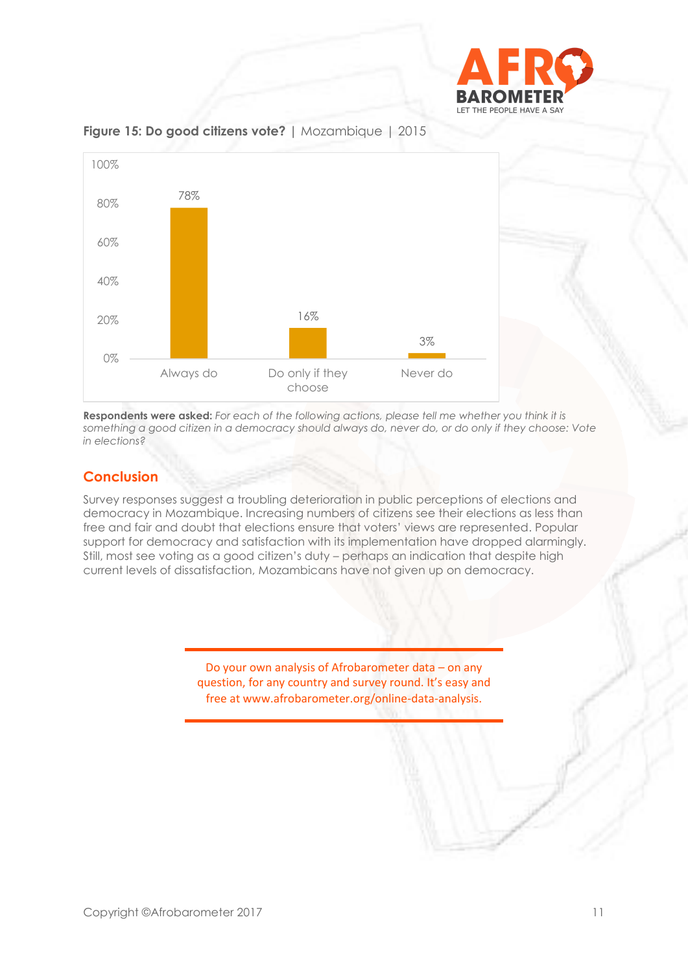



**Figure 15: Do good citizens vote? |** Mozambique | 2015

**Respondents were asked:** *For each of the following actions, please tell me whether you think it is something a good citizen in a democracy should always do, never do, or do only if they choose: Vote in elections?*

# **Conclusion**

Survey responses suggest a troubling deterioration in public perceptions of elections and democracy in Mozambique. Increasing numbers of citizens see their elections as less than free and fair and doubt that elections ensure that voters' views are represented. Popular support for democracy and satisfaction with its implementation have dropped alarmingly. Still, most see voting as a good citizen's duty – perhaps an indication that despite high current levels of dissatisfaction, Mozambicans have not given up on democracy.

> Do your own analysis of Afrobarometer data – on any question, for any country and survey round. It's easy and free at www.afrobarometer.org/online-data-analysis.